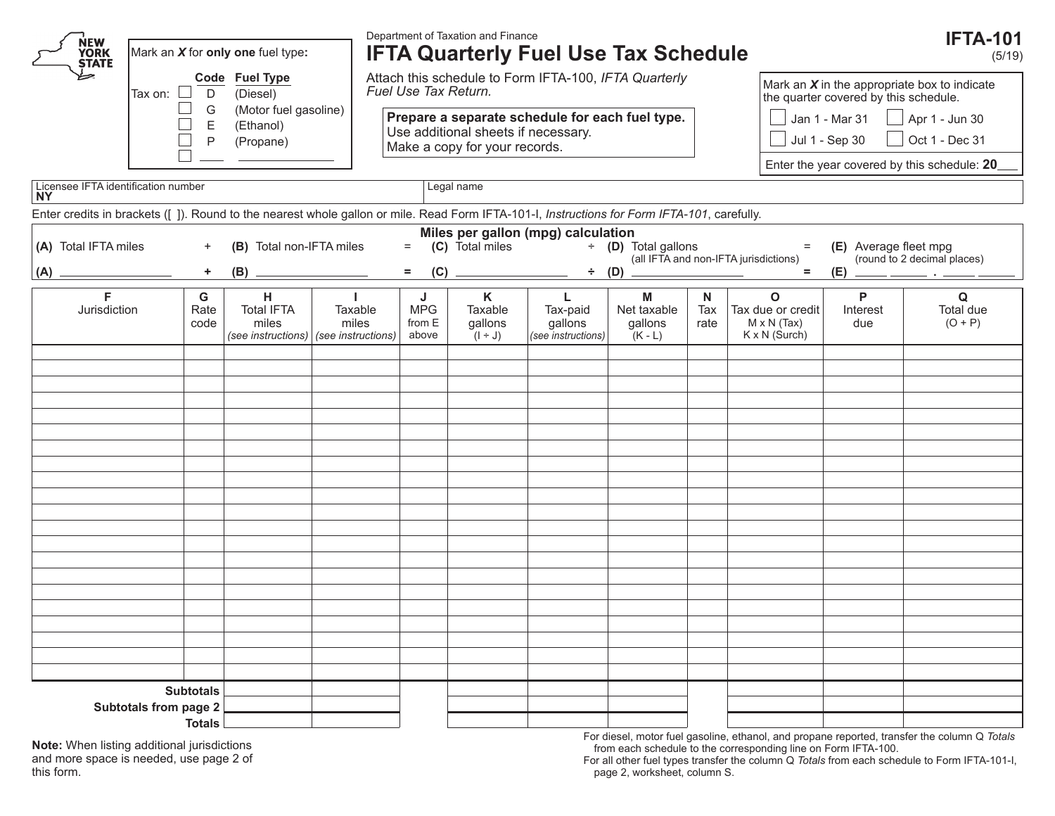Department of Taxation and Finance **IFTA-101** ŃEW **IFTA Quarterly Fuel Use Tax Schedule** Mark an *X* for **only one** fuel type**: YORK** (5/19) **STATE** Attach this schedule to Form IFTA-100, *IFTA Quarterly*   **Code Fuel Type** Mark an *X* in the appropriate box to indicate *Fuel Use Tax Return.* Tax on:  $\Box$  D (Diesel) the quarter covered by this schedule.  $\Box$  G (Motor fuel gasoline)<br> $\Box$  F (Fthanol) **Prepare a separate schedule for each fuel type.** Jan 1 - Mar 31  $\parallel$  Apr 1 - Jun 30 **E** (Ethanol)<br> **P** (Propane) Use additional sheets if necessary. P (Propane) Jul 1 - Sep 30  $\parallel$  Oct 1 - Dec 31 Make a copy for your records. Г  $\overline{a}$ Enter the year covered by this schedule: **20** Licensee IFTA identification number Legal name Legal name **NY** Enter credits in brackets ([ ]). Round to the nearest whole gallon or mile. Read Form IFTA-101-I, *Instructions for Form IFTA-101*, carefully. **Miles per gallon (mpg) calculation**<br>**(C)** Total miles  $\div$  **(D)** Total gallons **(A)** Total IFTA miles + **(B)** Total non-IFTA miles = **(C)** Total miles ÷ **(D)** Total gallons = **(E)** Average fleet mpg **(B)**  $\qquad \qquad \qquad = \qquad \textbf{(C)} \qquad \qquad \qquad = \qquad \textbf{(D)} \qquad \qquad \qquad \qquad = \qquad \textbf{(D)} \qquad \qquad \qquad \qquad = \qquad \textbf{(D)} \qquad \qquad \qquad \qquad \textbf{(E)} \qquad \qquad \qquad \textbf{(E)} \qquad \qquad \textbf{(E)} \qquad \qquad \textbf{(E)} \qquad \qquad \textbf{(E)} \qquad \qquad \textbf{(E)} \qquad \qquad \textbf{(E)} \qquad \qquad \textbf{(E)} \qquad \qquad \textbf{(E)} \qquad \qquad \textbf{(E)} \qquad$ **(A) + (B) = (C) ÷ (D) = (E) . G K P F H J M N O Q I L** Total IFTA Taxable MPG Taxable Net taxable **Jurisdiction** Rate Tax-paid Tax Tax due or credit Interest Total due miles miles from E gallons gallons gallons  $M \times N$  (Tax) due  $(O + P)$ code rate above K x N (Surch) *(see instructions) (see instructions)*  $(1 + J)$ *(see instructions)*  $(K - L)$ **Subtotals Subtotals from page 2 Totals**

**Note:** When listing additional jurisdictions and more space is needed, use page 2 of this form.

For diesel, motor fuel gasoline, ethanol, and propane reported, transfer the column Q *Totals* from each schedule to the corresponding line on Form IFTA-100.

For all other fuel types transfer the column Q *Totals* from each schedule to Form IFTA-101-I, page 2, worksheet, column S.